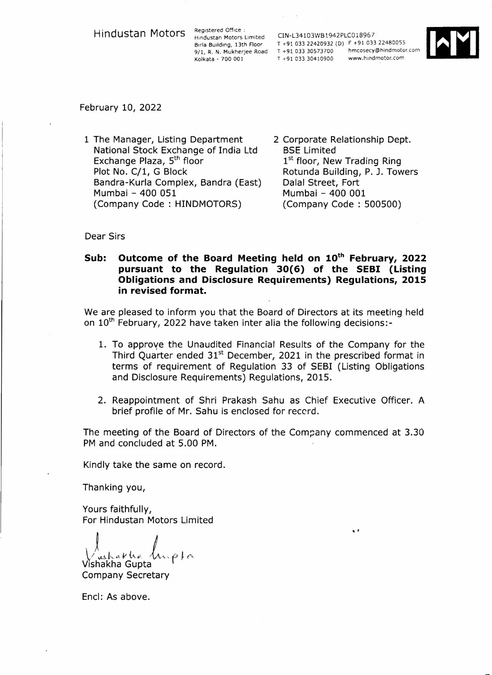Hindustan Motors Registered Office :

Hindustan Motors Limited Birla Building, 13th Floor 9/1, R. N. Mukherjee Road T +91 033 30573700 Kolkata - 700 001

CIN-L34103WB1942PLC018967 T +91 033 22420932 (DJ F +9103322480055 hmcosecy@hindmotor.com T +91 033 30410900 www.hindmotor.com



February 10, 2022

- 1 The Manager, Listing Department National Stock Exchange of India Ltd Exchange Plaza, 5<sup>th</sup> floor Plot No. C/1, G Block Bandra-Kurla Complex, Bandra (East) Mumbai - 400 051 (Company Code: HINDMOTORS)
- 2 Corporate Relationship Dept. BSE Limited 1<sup>st</sup> floor, New Trading Ring Rotunda Building, P. J. Towers Dalal Street, Fort Mumbai - 400 001 (Company Code: 500500)

.,

Dear Sirs

**Sub: Outcome of the Board Meeting held on 10th February, 2022 pursuant to the Regulation 30(6) of the SEBI (Listing Obligations and Disclosure Requirements) Regulations, 2015 in revised format.**

We are pleased to inform you that the Board of Directors at its meeting held on  $10<sup>th</sup>$  February, 2022 have taken inter alia the following decisions:-

- 1. To approve the Unaudited Financial Results of the Company for the Third Quarter ended 31<sup>st</sup> December, 2021 in the prescribed format in terms of requirement of Regulation 33 of SEBI (Listing Obligations and Disclosure Requirements) Regulations, 2015.
- 2. Reappointment of Shri Prakash Sahu as Chief Executive Officer. A brief profile of Mr. Sahu is enclosed for record.

The meeting of the Board of Directors of the Company commenced at 3.30 PM and concluded at 5.00 PM.

Kindly take the same on record.

Thanking you,

Yours faithfully, For Hindustan Motors Limited

Lucharte *Lupto* Vishakha Gupta

Company Secretary

Encl: As above.